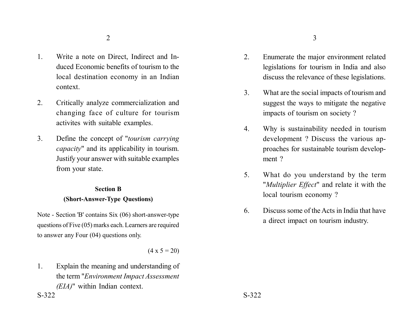- 1. Write a note on Direct, Indirect and Induced Economic benefits of tourism to the local destination economy in an Indian context.
- 2. Critically analyze commercialization and changing face of culture for tourism activites with suitable examples.
- 3. Define the concept of "*tourism carrying capacity*" and its applicability in tourism. Justify your answer with suitable examples from your state.

# **Section B (Short-Answer-Type Questions)**

Note - Section 'B' contains Six (06) short-answer-type questions of Five (05) marks each. Learners are required to answer any Four (04) questions only.

 $(4 \times 5 = 20)$ 

1. Explain the meaning and understanding of the term "*Environment Impact Assessment (EIA)*" within Indian context.  $S-322$   $S-322$ 

- 2. Enumerate the major environment related legislations for tourism in India and also discuss the relevance of these legislations.
- 3. What are the social impacts of tourism and suggest the ways to mitigate the negative impacts of tourism on society ?
- 4. Why is sustainability needed in tourism development ? Discuss the various approaches for sustainable tourism development ?
- 5. What do you understand by the term "*Multiplier Effect*" and relate it with the local tourism economy ?
- 6. Discuss some of the Acts in India that have a direct impact on tourism industry.